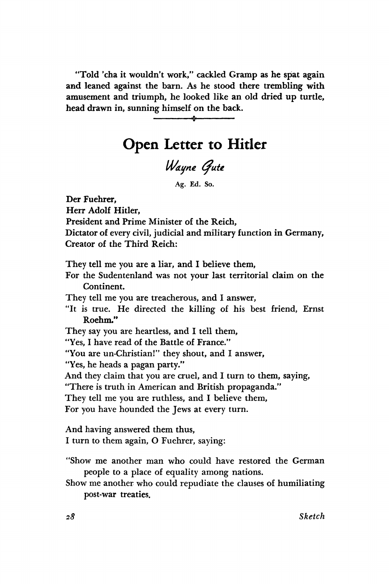**"Told 'cha it wouldn't work," cackled Gramp as he spat again and leaned against the barn. As he stood there trembling with amusement and triumph, he looked like an old dried up turtle, head drawn in, sunning himself on the back.** 

**\*** 

## **Open Letter to Hitler**

## *Wayne (jute*

**Ag. Ed. So.** 

**Der Fuehrer, Herr Adolf Hitler, President and Prime Minister of the Reich, Dictator of every civil, judicial and military function in Germany, Creator of the Third Reich: They tell me you are a liar, and I believe them, For the Sudentenland was not your last territorial claim on the Continent.** 

**They tell me you are treacherous, and I answer,** 

**"It is true. He directed the killing of his best friend, Ernst Roehm."** 

**They say you are heartless, and I tell them,** 

**"Yes, I have read of the Battle of France."** 

**"You are un-Christian!,, they shout, and I answer,** 

**"Yes, he heads a pagan party."** 

**And they claim that you are cruel, and I turn to them, saying,** 

**"There is truth in American and British propaganda."** 

**They tell me you are ruthless, and I believe them,** 

**For you have hounded the Jews at every turn.** 

**And having answered them thus, I turn to them again, O Fuehrer, saying:** 

- **"Show me another man who could have restored the German people to a place of equality among nations.**
- **Show me another who could repudiate the clauses of humiliating post-war treaties.**